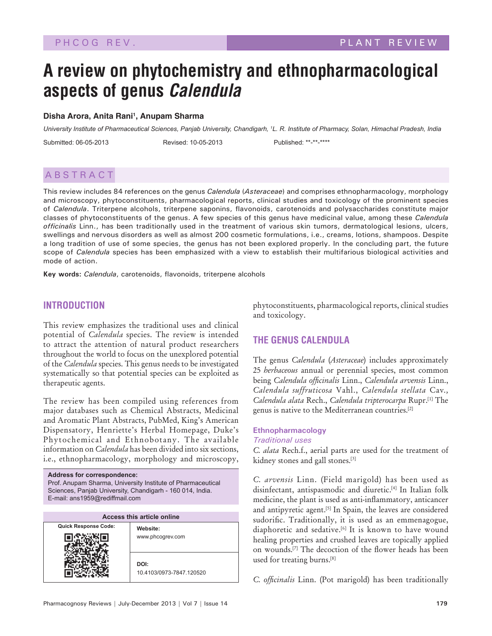# **A review on phytochemistry and ethnopharmacological aspects of genus** *Calendula*

### **Disha Arora, Anita Rani1 , Anupam Sharma**

University Institute of Pharmaceutical Sciences, Panjab University, Chandigarh, <sup>1</sup>L. R. Institute of Pharmacy, Solan, Himachal Pradesh, India

Submitted: 06-05-2013 Revised: 10-05-2013 Published: \*\*-\*\*-\*\*\*\*

# **ABSTRACT**

This review includes 84 references on the genus *Calendula* (*Asteraceae*) and comprises ethnopharmacology, morphology and microscopy, phytoconstituents, pharmacological reports, clinical studies and toxicology of the prominent species of *Calendula*. Triterpene alcohols, triterpene saponins, flavonoids, carotenoids and polysaccharides constitute major classes of phytoconstituents of the genus. A few species of this genus have medicinal value, among these *Calendula officinalis* Linn., has been traditionally used in the treatment of various skin tumors, dermatological lesions, ulcers, swellings and nervous disorders as well as almost 200 cosmetic formulations, i.e., creams, lotions, shampoos. Despite a long tradition of use of some species, the genus has not been explored properly. In the concluding part, the future scope of *Calendula* species has been emphasized with a view to establish their multifarious biological activities and mode of action.

**Key words:** *Calendula*, carotenoids, flavonoids, triterpene alcohols

# **INTRODUCTION**

This review emphasizes the traditional uses and clinical potential of *Calendula* species. The review is intended to attract the attention of natural product researchers throughout the world to focus on the unexplored potential of the *Calendula* species. This genus needs to be investigated systematically so that potential species can be exploited as therapeutic agents.

The review has been compiled using references from major databases such as Chemical Abstracts, Medicinal and Aromatic Plant Abstracts, PubMed, King's American Dispensatory, Henriette's Herbal Homepage, Duke's Phytochemical and Ethnobotany. The available information on *Calendula* has been divided into six sections, i.e., ethnopharmacology, morphology and microscopy,

#### **Address for correspondence:**

Prof. Anupam Sharma, University Institute of Pharmaceutical Sciences, Panjab University, Chandigarh - 160 014, India. E-mail: ans1959@rediffmail.com

| Access this article online  |                                  |  |  |
|-----------------------------|----------------------------------|--|--|
| <b>Quick Response Code:</b> | Website:                         |  |  |
|                             | www.phcogrev.com                 |  |  |
|                             | DOI:<br>10.4103/0973-7847.120520 |  |  |

phytoconstituents, pharmacological reports, clinical studies and toxicology.

# **THE GENUS CALENDULA**

The genus *Calendula* (*Asteraceae*) includes approximately 25 *herbaceous* annual or perennial species, most common being *Calendula officinalis* Linn., *Calendula arvensis* Linn., *Calendula suffruticosa* Vahl., *Calendula stellata* Cav*., Calendula alata* Rech., *Calendula tripterocarpa* Rupr.[1] The genus is native to the Mediterranean countries.[2]

# **Ethnopharmacology**

## *Traditional uses*

*C. alata* Rech.f., aerial parts are used for the treatment of kidney stones and gall stones.<sup>[3]</sup>

*C. arvensis* Linn. (Field marigold) has been used as disinfectant, antispasmodic and diuretic.[4] In Italian folk medicine, the plant is used as anti‑inflammatory, anticancer and antipyretic agent.<sup>[5]</sup> In Spain, the leaves are considered sudorific. Traditionally, it is used as an emmenagogue, diaphoretic and sedative.<sup>[6]</sup> It is known to have wound healing properties and crushed leaves are topically applied on wounds.[7] The decoction of the flower heads has been used for treating burns.[8]

*C. officinalis* Linn. (Pot marigold) has been traditionally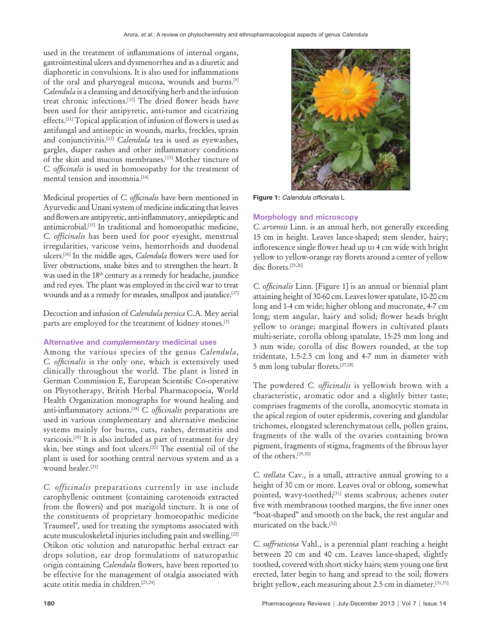used in the treatment of inflammations of internal organs, gastrointestinal ulcers and dysmenorrhea and as a diuretic and diaphoretic in convulsions. It is also used for inflammations of the oral and pharyngeal mucosa, wounds and burns.[9] *Calendula* is a cleansing and detoxifying herb and the infusion treat chronic infections.[10] The dried flower heads have been used for their antipyretic, anti-tumor and cicatrizing effects.[11] Topical application of infusion of flowers is used as antifungal and antiseptic in wounds, marks, freckles, sprain and conjunctivitis.[12] *Calendula* tea is used as eyewashes, gargles, diaper rashes and other inflammatory conditions of the skin and mucous membranes.[13] Mother tincture of *C. officinalis* is used in homoeopathy for the treatment of mental tension and insomnia.[14]

Medicinal properties of *C. officinalis* have been mentioned in Ayurvedic and Unani system of medicine indicating that leaves and flowers are antipyretic, anti‑inflammatory, antiepileptic and antimicrobial.[15] In traditional and homoeopathic medicine, *C. officinalis* has been used for poor eyesight, menstrual irregularities, varicose veins, hemorrhoids and duodenal ulcers.[16] In the middle ages, *Calendula* flowers were used for liver obstructions, snake bites and to strengthen the heart. It was used in the 18th century as a remedy for headache, jaundice and red eyes. The plant was employed in the civil war to treat wounds and as a remedy for measles, smallpox and jaundice.<sup>[17]</sup>

Decoction and infusion of *Calendula persica* C.A. Mey aerial parts are employed for the treatment of kidney stones.[3]

### **Alternative and** *complementary* **medicinal uses**

Among the various species of the genus *Calendula*, *C. officinalis* is the only one, which is extensively used clinically throughout the world. The plant is listed in German Commission E, European Scientific Co-operative on Phytotherapy, British Herbal Pharmacopoeia, World Health Organization monographs for wound healing and anti‑inflammatory actions.[18] *C. officinalis* preparations are used in various complementary and alternative medicine systems mainly for burns, cuts, rashes, dermatitis and varicosis.<sup>[19]</sup> It is also included as part of treatment for dry skin, bee stings and foot ulcers.[20] The essential oil of the plant is used for soothing central nervous system and as a wound healer.[21]

*C. officinalis* preparations currently in use include carophyllenic ointment (containing carotenoids extracted from the flowers) and pot marigold tincture. It is one of the constituents of proprietary homoeopathic medicine Traumeel® , used for treating the symptoms associated with acute musculoskeletal injuries including pain and swelling.[22] Otikon otic solution and naturopathic herbal extract ear drops solution, ear drop formulations of naturopathic origin containing *Calendula* flowers, have been reported to be effective for the management of otalgia associated with acute otitis media in children.[23,24]



**Figure 1:** Calendula officinalis L

## **Morphology and microscopy**

*C. arvensis* Linn. is an annual herb, not generally exceeding 15 cm in height. Leaves lance-shaped; stem slender, hairy; inflorescence single flower head up to 4 cm wide with bright yellow to yellow‑orange ray florets around a center of yellow disc florets.<sup>[25,26]</sup>

*C. officinalis* Linn. [Figure 1] is an annual or biennial plant attaining height of 30-60 cm. Leaves lower spatulate, 10-20 cm long and 1-4 cm wide; higher oblong and mucronate, 4-7 cm long; stem angular, hairy and solid; flower heads bright yellow to orange; marginal flowers in cultivated plants multi-seriate, corolla oblong spatulate, 15-25 mm long and 3 mm wide; corolla of disc flowers rounded, at the top tridentate, 1.5-2.5 cm long and 4-7 mm in diameter with 5 mm long tubular florets.[27,28]

The powdered *C. officinalis* is yellowish brown with a characteristic, aromatic odor and a slightly bitter taste; comprises fragments of the corolla, anomocytic stomata in the apical region of outer epidermis, covering and glandular trichomes, elongated sclerenchymatous cells, pollen grains, fragments of the walls of the ovaries containing brown pigment, fragments of stigma, fragments of the fibrous layer of the others.[29,30]

*C. stellata* Cav., is a small, attractive annual growing to a height of 30 cm or more. Leaves oval or oblong, somewhat pointed, wavy-toothed;[31] stems scabrous; achenes outer five with membranous toothed margins, the five inner ones "boat-shaped" and smooth on the back, the rest angular and muricated on the back.[32]

*C. suffruticosa* Vahl., is a perennial plant reaching a height between 20 cm and 40 cm. Leaves lance-shaped, slightly toothed, covered with short sticky hairs; stem young one first erected, later begin to hang and spread to the soil; flowers bright yellow, each measuring about 2.5 cm in diameter.[31,33]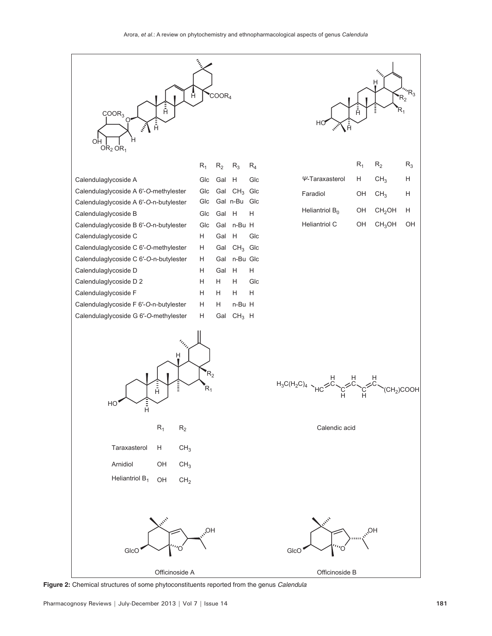

**Figure 2:** Chemical structures of some phytoconstituents reported from the genus *Calendula*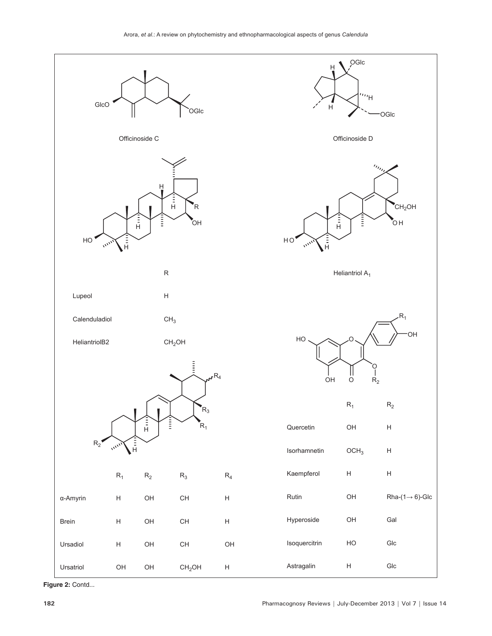

**Figure 2:** Contd...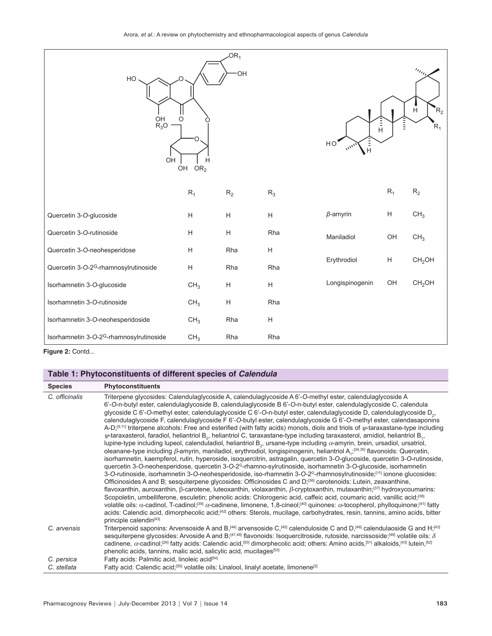| HO<br>OR <sub>3</sub> O<br>O<br>OH                   | Ω<br>H<br>OH $OR2$ | OR <sub>1</sub><br><b>OH</b> |                           | $\frac{1}{H}$<br>γ∃<br>⊾H<br>HO<br>and in | Ξ                         | $\eta_{\eta_j}$<br>$R_2$<br>H<br>$R_1$ |
|------------------------------------------------------|--------------------|------------------------------|---------------------------|-------------------------------------------|---------------------------|----------------------------------------|
|                                                      | $R_1$              | $\mathsf{R}_2$               | $R_3$                     |                                           | $R_1$                     | $R_2$                                  |
| Quercetin 3-O-glucoside                              | H                  | H                            | $\boldsymbol{\mathsf{H}}$ | $\beta$ -amyrin                           | $\boldsymbol{\mathsf{H}}$ | CH <sub>3</sub>                        |
| Quercetin 3-O-rutinoside                             | H                  | $\boldsymbol{\mathsf{H}}$    | Rha                       | Maniladiol                                | OH                        | CH <sub>3</sub>                        |
| Quercetin 3-O-neohesperidose                         | $\mathsf H$        | Rha                          | Н                         |                                           |                           |                                        |
| Quercetin 3-O-2 <sup>G</sup> -rhamnosylrutinoside    | H                  | Rha                          | Rha                       | Erythrodiol                               | Н                         | CH <sub>2</sub> OH                     |
| Isorhamnetin 3-O-glucoside                           | CH <sub>3</sub>    | Н                            | $\boldsymbol{\mathsf{H}}$ | Longispinogenin                           | OH                        | CH <sub>2</sub> OH                     |
| Isorhamnetin 3-O-rutinoside                          | CH <sub>3</sub>    | $\boldsymbol{\mathsf{H}}$    | Rha                       |                                           |                           |                                        |
| Isorhamnetin 3-O-neohesperidoside                    | CH <sub>3</sub>    | Rha                          | Н                         |                                           |                           |                                        |
| Isorhamnetin 3-O-2 <sup>G</sup> -rhamnosylrutinoside | CH <sub>3</sub>    | Rha                          | Rha                       |                                           |                           |                                        |

**Figure 2:** Contd...

# **Table 1: Phytoconstituents of different species of** *Calendula*

| <b>Species</b>            | <b>Phytoconstituents</b>                                                                                                                                                                                                                                                                                                                                                                                                                                                                                                                                                                                                                                                                                                                                                                                                                                                                                                                                                                                                                                                                                                                                                                                                                                                                                                                                                                                                                                                                                                                                                                                                                                                                                                                                                                                                                                                                                                                                                                                                                                                                                                                                                                                                                                                                                                |
|---------------------------|-------------------------------------------------------------------------------------------------------------------------------------------------------------------------------------------------------------------------------------------------------------------------------------------------------------------------------------------------------------------------------------------------------------------------------------------------------------------------------------------------------------------------------------------------------------------------------------------------------------------------------------------------------------------------------------------------------------------------------------------------------------------------------------------------------------------------------------------------------------------------------------------------------------------------------------------------------------------------------------------------------------------------------------------------------------------------------------------------------------------------------------------------------------------------------------------------------------------------------------------------------------------------------------------------------------------------------------------------------------------------------------------------------------------------------------------------------------------------------------------------------------------------------------------------------------------------------------------------------------------------------------------------------------------------------------------------------------------------------------------------------------------------------------------------------------------------------------------------------------------------------------------------------------------------------------------------------------------------------------------------------------------------------------------------------------------------------------------------------------------------------------------------------------------------------------------------------------------------------------------------------------------------------------------------------------------------|
| C. officinalis            | Triterpene glycosides: Calendulaglycoside A, calendulaglycoside A 6'-O-methyl ester, calendulaglycoside A<br>6'-O-n-butyl ester, calendulaglycoside B, calendulaglycoside B 6'-O-n-butyl ester, calendulaglycoside C, calendula<br>glycoside C 6'-O-methyl ester, calendulaglycoside C 6'-O-n-butyl ester, calendulaglycoside D, calendulaglycoside D <sub>2</sub> ,<br>calendulaglycoside F, calendulaglycoside F 6'-O-butyl ester, calendulaglycoside G 6'-O-methyl ester, calendasaponins<br>A-D; <sup>[9,11]</sup> triterpene alcohols: Free and esterified (with fatty acids) monols, diols and triols of $\psi$ -taraxastane-type including<br>$\psi$ -taraxasterol, faradiol, heliantriol B <sub>o</sub> , heliantriol C, taraxastane-type including taraxasterol, arnidiol, heliantriol B <sub>o</sub> ,<br>lupine-type including lupeol, calenduladiol, heliantriol $B_{n}$ , ursane-type including $\alpha$ -amyrin, brein, ursadiol, ursatriol,<br>oleanane-type including B-amyrin, maniladiol, erythrodiol, longispinogenin, heliantriol A,; <sup>[34,35]</sup> flavonoids: Quercetin,<br>isorhamnetin, kaempferol, rutin, hyperoside, isoquercitrin, astragalin, quercetin 3-O-glucoside, quercetin 3-O-rutinoside,<br>quercetin 3-O-neohesperidose, quercetin 3-O-2 <sup>G</sup> -rhamno-sylrutinoside, isorhamnetin 3-O-glucoside, isorhamnetin<br>3-O-rutinoside, isorhamnetin 3-O-neohesperidoside, iso-rhamnetin 3-O-2 <sup>G</sup> -rhamnosylrutinoside; <sup>[11]</sup> ionone glucosides:<br>Officinosides A and B; sesquiterpene glycosides: Officinosides C and D; <sup>[36]</sup> carotenoids: Lutein, zeaxanthine,<br>flavoxanthin, auroxanthin, $\beta$ -carotene, luteoxanthin, violaxanthin, $\beta$ -cryptoxanthin, mutaxanthin; <sup>[37]</sup> hydroxycoumarins:<br>Scopoletin, umbelliferone, esculetin; phenolic acids: Chlorogenic acid, caffeic acid, coumaric acid, vanillic acid; <sup>[38]</sup><br>volatile oils: $\alpha$ -cadinol, T-cadinol; <sup>[39]</sup> $\alpha$ -cadinene, limonene, 1,8-cineol; <sup>[40]</sup> quinones: $\alpha$ -tocopherol, phylloquinone; <sup>[41]</sup> fatty<br>acids: Calendic acid, dimorphecolic acid; <sup>[42]</sup> others: Sterols, mucilage, carbohydrates, resin, tannins, amino acids, bitter<br>principle calendin <sup>[43]</sup> |
| C. arvensis               | Triterpenoid saponins: Arvensoside A and B. <sup>[44]</sup> arvensoside C. <sup>[45]</sup> calenduloside C and D. <sup>[46]</sup> calendulaoside G and H: <sup>[43]</sup><br>sesquiterpene glycosides: Arvoside A and B; <sup>[47,48]</sup> flavonoids: Isoquercitroside, rutoside, narcissoside; <sup>[49]</sup> volatile oils: $\delta$<br>cadinene, $\alpha$ -cadinol; <sup>[26]</sup> fatty acids: Calendic acid, <sup>[50]</sup> dimorphecolic acid; others: Amino acids, <sup>[51]</sup> alkaloids, <sup>[43]</sup> lutein, <sup>[52]</sup><br>phenolic acids, tannins, malic acid, salicylic acid, mucilages <sup>[53]</sup>                                                                                                                                                                                                                                                                                                                                                                                                                                                                                                                                                                                                                                                                                                                                                                                                                                                                                                                                                                                                                                                                                                                                                                                                                                                                                                                                                                                                                                                                                                                                                                                                                                                                                     |
| C. persica<br>C. stellata | Fatty acids: Palmitic acid, linoleic acid <sup>[54]</sup><br>Fatty acid: Calendic acid; <sup>[55]</sup> volatile oils: Linalool, linalyl acetate, limonene <sup>[2]</sup>                                                                                                                                                                                                                                                                                                                                                                                                                                                                                                                                                                                                                                                                                                                                                                                                                                                                                                                                                                                                                                                                                                                                                                                                                                                                                                                                                                                                                                                                                                                                                                                                                                                                                                                                                                                                                                                                                                                                                                                                                                                                                                                                               |
|                           |                                                                                                                                                                                                                                                                                                                                                                                                                                                                                                                                                                                                                                                                                                                                                                                                                                                                                                                                                                                                                                                                                                                                                                                                                                                                                                                                                                                                                                                                                                                                                                                                                                                                                                                                                                                                                                                                                                                                                                                                                                                                                                                                                                                                                                                                                                                         |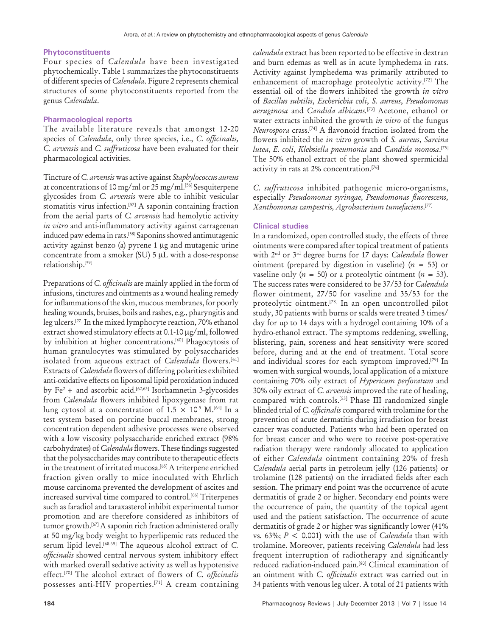#### **Phytoconstituents**

Four species of *Calendula* have been investigated phytochemically. Table 1 summarizes the phytoconstituents of different species of *Calendula*. Figure 2 represents chemical structures of some phytoconstituents reported from the genus *Calendula*.

#### **Pharmacological reports**

The available literature reveals that amongst 12-20 species of *Calendula*, only three species, i.e., *C. officinalis, C. arvensis* and *C. suffruticosa* have been evaluated for their pharmacological activities.

Tincture of *C. arvensis* was active against *Staphylococcus aureus*  at concentrations of 10 mg/ml or 25 mg/ml.[56] Sesquiterpene glycosides from *C. arvensis* were able to inhibit vesicular stomatitis virus infection.[57] A saponin containing fraction from the aerial parts of *C. arvensis* had hemolytic activity *in vitro* and anti-inflammatory activity against carrageenan induced paw edema in rats.[58] Saponins showed antimutagenic activity against benzo (a) pyrene 1 µg and mutagenic urine concentrate from a smoker (SU) 5 µL with a dose-response relationship.[59]

Preparations of *C. officinalis* are mainly applied in the form of infusions, tinctures and ointments as a wound healing remedy for inflammations of the skin, mucous membranes, for poorly healing wounds, bruises, boils and rashes, e.g., pharyngitis and leg ulcers.[27] In the mixed lymphocyte reaction, 70% ethanol extract showed stimulatory effects at 0.1-10 µg/ml, followed by inhibition at higher concentrations.[60] Phagocytosis of human granulocytes was stimulated by polysaccharides isolated from aqueous extract of *Calendula* flowers.[61] Extracts of *Calendula* flowers of differing polarities exhibited anti-oxidative effects on liposomal lipid peroxidation induced by  $Fe<sup>2</sup>$  + and ascorbic acid.<sup>[62,63]</sup> Isorhamnetin 3-glycosides from *Calendula* flowers inhibited lipoxygenase from rat lung cytosol at a concentration of  $1.5 \times 10^{-5}$  M.<sup>[64]</sup> In a test system based on porcine buccal membranes, strong concentration dependent adhesive processes were observed with a low viscosity polysaccharide enriched extract (98% carbohydrates) of *Calendula* flowers. These findings suggested that the polysaccharides may contribute to therapeutic effects in the treatment of irritated mucosa.<sup>[65]</sup> A triterpene enriched fraction given orally to mice inoculated with Ehrlich mouse carcinoma prevented the development of ascites and increased survival time compared to control.[66] Triterpenes such as faradiol and taraxasterol inhibit experimental tumor promotion and are therefore considered as inhibitors of tumor growth.[67] A saponin rich fraction administered orally at 50 mg/kg body weight to hyperlipemic rats reduced the serum lipid level.[68,69] The aqueous alcohol extract of *C. officinalis* showed central nervous system inhibitory effect with marked overall sedative activity as well as hypotensive effect.[70] The alcohol extract of flowers of *C. officinalis* possesses anti-HIV properties.[71] A cream containing

*calendula* extract has been reported to be effective in dextran and burn edemas as well as in acute lymphedema in rats. Activity against lymphedema was primarily attributed to enhancement of macrophage proteolytic activity.[72] The essential oil of the flowers inhibited the growth *in vitro*  of *Bacillus subtilis*, *Escherichia coli*, *S. aureus*, *Pseudomonas aeruginosa* and *Candida albicans.*[73] Acetone, ethanol or water extracts inhibited the growth *in vitro* of the fungus *Neurospora* crass.[74] A flavonoid fraction isolated from the flowers inhibited the *in vitro* growth of *S. aureus*, *Sarcina lutea*, *E. coli*, *Klebsiella pneumonia* and *Candida monosa*. [75] The 50% ethanol extract of the plant showed spermicidal activity in rats at 2% concentration.[76]

*C. suffruticosa* inhibited pathogenic micro-organisms, especially *Pseudomonas syringae, Pseudomonas fluorescens, Xanthomonas campestris, Agrobacterium tumefaciens*. [77]

#### **Clinical studies**

In a randomized, open controlled study, the effects of three ointments were compared after topical treatment of patients with 2nd or 3rd degree burns for 17 days: *Calendula* flower ointment (prepared by digestion in vaseline) (*n* = 53) or vaseline only  $(n = 50)$  or a proteolytic ointment  $(n = 53)$ . The success rates were considered to be 37/53 for *Calendula* flower ointment, 27/50 for vaseline and 35/53 for the proteolytic ointment.[78] In an open uncontrolled pilot study, 30 patients with burns or scalds were treated 3 times/ day for up to 14 days with a hydrogel containing 10% of a hydro-ethanol extract. The symptoms reddening, swelling, blistering, pain, soreness and heat sensitivity were scored before, during and at the end of treatment. Total score and individual scores for each symptom improved.[79] In women with surgical wounds, local application of a mixture containing 70% oily extract of *Hypericum perforatum* and 30% oily extract of *C. arvensis* improved the rate of healing, compared with controls.[53] Phase III randomized single blinded trial of *C. officinalis* compared with trolamine for the prevention of acute dermatitis during irradiation for breast cancer was conducted. Patients who had been operated on for breast cancer and who were to receive post-operative radiation therapy were randomly allocated to application of either *Calendula* ointment containing 20% of fresh *Calendula* aerial parts in petroleum jelly (126 patients) or trolamine (128 patients) on the irradiated fields after each session. The primary end point was the occurrence of acute dermatitis of grade 2 or higher. Secondary end points were the occurrence of pain, the quantity of the topical agent used and the patient satisfaction. The occurrence of acute dermatitis of grade 2 or higher was significantly lower (41% vs*.* 63%; *P* < 0.001) with the use of *Calendula* than with trolamine. Moreover, patients receiving *Calendula* had less frequent interruption of radiotherapy and significantly reduced radiation-induced pain.[80] Clinical examination of an ointment with *C. officinalis* extract was carried out in 34 patients with venous leg ulcer. A total of 21 patients with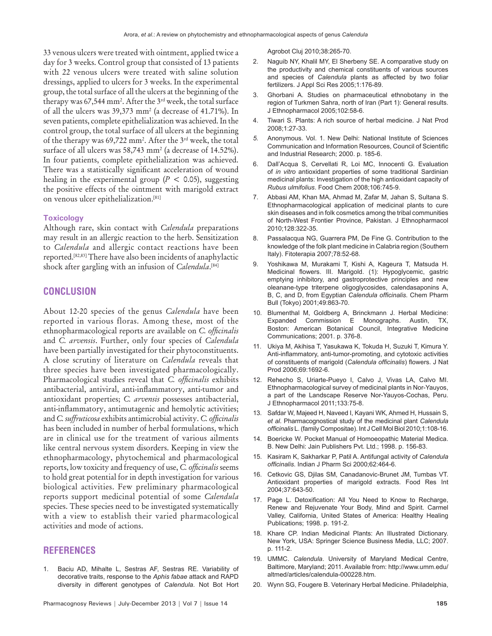33 venous ulcers were treated with ointment, applied twice a day for 3 weeks. Control group that consisted of 13 patients with 22 venous ulcers were treated with saline solution dressings, applied to ulcers for 3 weeks. In the experimental group, the total surface of all the ulcers at the beginning of the therapy was 67,544 mm<sup>2</sup>. After the 3<sup>rd</sup> week, the total surface of all the ulcers was 39,373 mm2 (a decrease of 41.71%). In seven patients, complete epithelialization was achieved. In the control group, the total surface of all ulcers at the beginning of the therapy was 69,722 mm2 . After the 3rd week, the total surface of all ulcers was 58,743 mm<sup>2</sup> (a decrease of 14.52%). In four patients, complete epithelialization was achieved. There was a statistically significant acceleration of wound healing in the experimental group ( $P < 0.05$ ), suggesting the positive effects of the ointment with marigold extract on venous ulcer epithelialization.[81]

#### **Toxicology**

Although rare, skin contact with *Calendula* preparations may result in an allergic reaction to the herb. Sensitization to *Calendula* and allergic contact reactions have been reported.[82,83] There have also been incidents of anaphylactic shock after gargling with an infusion of *Calendula*. [84]

# **CONCLUSION**

About 12-20 species of the genus *Calendula* have been reported in various floras. Among these, most of the ethnopharmacological reports are available on *C. officinalis* and *C. arvensis*. Further, only four species of *Calendula* have been partially investigated for their phytoconstituents. A close scrutiny of literature on *Calendula* reveals that three species have been investigated pharmacologically. Pharmacological studies reveal that *C. officinalis* exhibits antibacterial, antiviral, anti-inflammatory, anti-tumor and antioxidant properties; *C. arvensis* possesses antibacterial, anti-inflammatory, antimutagenic and hemolytic activities; and *C. suffruticosa* exhibits antimicrobial activity. *C. officinalis* has been included in number of herbal formulations, which are in clinical use for the treatment of various ailments like central nervous system disorders. Keeping in view the ethnopharmacology, phytochemical and pharmacological reports, low toxicity and frequency of use, *C. officinalis* seems to hold great potential for in depth investigation for various biological activities. Few preliminary pharmacological reports support medicinal potential of some *Calendula*  species. These species need to be investigated systematically with a view to establish their varied pharmacological activities and mode of actions.

#### **REFERENCES**

1. Baciu AD, Mihalte L, Sestras AF, Sestras RE. Variability of decorative traits, response to the *Aphis fabae* attack and RAPD diversity in different genotypes of *Calendula*. Not Bot Hort Agrobot Cluj 2010;38:265-70.

- 2. Naguib NY, Khalil MY, El Sherbeny SE. A comparative study on the productivity and chemical constituents of various sources and species of *Calendula* plants as affected by two foliar fertilizers. J Appl Sci Res 2005;1:176-89.
- 3. Ghorbani A. Studies on pharmaceutical ethnobotany in the region of Turkmen Sahra, north of Iran (Part 1): General results. J Ethnopharmacol 2005;102:58-6.
- 4. Tiwari S. Plants: A rich source of herbal medicine. J Nat Prod 2008;1:27-33.
- *5.* Anonymous. Vol. 1. New Delhi: National Institute of Sciences Communication and Information Resources, Council of Scientific and Industrial Research; 2000. p. 185-6.
- 6. Dall'Acqua S, Cervellati R, Loi MC, Innocenti G. Evaluation of *in vitro* antioxidant properties of some traditional Sardinian medicinal plants: Investigation of the high antioxidant capacity of *Rubus ulmifolius*. Food Chem 2008;106:745-9.
- 7. Abbasi AM, Khan MA, Ahmad M, Zafar M, Jahan S, Sultana S. Ethnopharmacological application of medicinal plants to cure skin diseases and in folk cosmetics among the tribal communities of North-West Frontier Province, Pakistan. J Ethnopharmacol 2010;128:322-35.
- 8. Passalacqua NG, Guarrera PM, De Fine G. Contribution to the knowledge of the folk plant medicine in Calabria region (Southern Italy). Fitoterapia 2007;78:52-68.
- 9. Yoshikawa M, Murakami T, Kishi A, Kageura T, Matsuda H. Medicinal flowers. III. Marigold. (1): Hypoglycemic, gastric emptying inhibitory, and gastroprotective principles and new oleanane-type triterpene oligoglycosides, calendasaponins A, B, C, and D, from Egyptian *Calendula officinalis*. Chem Pharm Bull (Tokyo) 2001;49:863-70.
- 10. Blumenthal M, Goldberg A, Brinckmann J. Herbal Medicine: Expanded Commission E Monographs. Austin, TX, Boston: American Botanical Council, Integrative Medicine Communications; 2001. p. 376-8.
- 11. Ukiya M, Akihisa T, Yasukawa K, Tokuda H, Suzuki T, Kimura Y. Anti-inflammatory, anti-tumor-promoting, and cytotoxic activities of constituents of marigold (*Calendula officinalis*) flowers. J Nat Prod 2006;69:1692-6.
- 12. Rehecho S, Uriarte-Pueyo I, Calvo J, Vivas LA, Calvo MI. Ethnopharmacological survey of medicinal plants in Nor-Yauyos, a part of the Landscape Reserve Nor-Yauyos-Cochas, Peru. J Ethnopharmacol 2011;133:75-8.
- 13. Safdar W, Majeed H, Naveed I, Kayani WK, Ahmed H, Hussain S, *et al*. Pharmacognostical study of the medicinal plant *Calendula officinalis* L.(family Compositae). Int J Cell Mol Biol 2010;1:108-16.
- 14. Boericke W. Pocket Manual of Homoeopathic Material Medica. B. New Delhi: Jain Publishers Pvt. Ltd.; 1998. p. 156-83.
- 15. Kasiram K, Sakharkar P, Patil A. Antifungal activity of *Calendula officinalis*. Indian J Pharm Sci 2000;62:464-6.
- 16. Cetkovic GS, Djilas SM, Canadanovic-Brunet JM, Tumbas VT. Antioxidant properties of marigold extracts. Food Res Int 2004;37:643-50.
- 17. Page L. Detoxification: All You Need to Know to Recharge, Renew and Rejuvenate Your Body, Mind and Spirit. Carmel Valley, California, United States of America: Healthy Healing Publications; 1998. p. 191-2.
- 18. Khare CP. Indian Medicinal Plants: An Illustrated Dictionary. New York, USA: Springer Science Business Media, LLC; 2007. p. 111-2.
- 19. UMMC. *Calendula*. University of Maryland Medical Centre, Baltimore, Maryland; 2011. Available from: http://www.umm.edu/ altmed/articles/calendula-000228.htm.
- 20. Wynn SG, Fougere B. Veterinary Herbal Medicine. Philadelphia,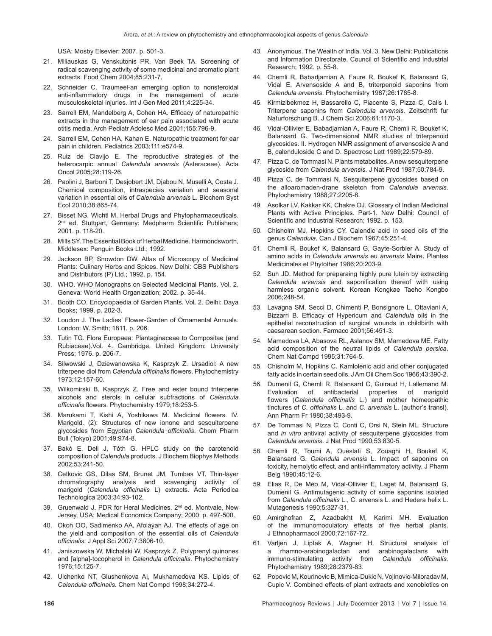USA: Mosby Elsevier; 2007. p. 501-3.

- 21. Miliauskas G, Venskutonis PR, Van Beek TA. Screening of radical scavenging activity of some medicinal and aromatic plant extracts. Food Chem 2004;85:231-7.
- 22. Schneider C. Traumeel-an emerging option to nonsteroidal anti-inflammatory drugs in the management of acute musculoskeletal injuries. Int J Gen Med 2011;4:225-34.
- 23. Sarrell EM, Mandelberg A, Cohen HA. Efficacy of naturopathic extracts in the management of ear pain associated with acute otitis media. Arch Pediatr Adolesc Med 2001;155:796-9.
- 24. Sarrell EM, Cohen HA, Kahan E. Naturopathic treatment for ear pain in children. Pediatrics 2003;111:e574-9.
- 25. Ruiz de Clavijo E. The reproductive strategies of the heterocarpic annual *Calendula arvensis* (Asteraceae). Acta Oncol 2005;28:119-26.
- 26. Paolini J, Barboni T, Desjobert JM, Djabou N, Muselli A, Costa J. Chemical composition, intraspecies variation and seasonal variation in essential oils of *Calendula arvensis* L. Biochem Syst Ecol 2010;38:865-74.
- 27. Bisset NG, Wichtl M. Herbal Drugs and Phytopharmaceuticals. 2<sup>nd</sup> ed. Stuttgart, Germany: Medpharm Scientific Publishers; 2001. p. 118-20.
- 28. MillsSY. The Essential Book of Herbal Medicine. Harmondsworth, Middlesex: Penguin Books Ltd.; 1992.
- 29. Jackson BP, Snowdon DW. Atlas of Microscopy of Medicinal Plants: Culinary Herbs and Spices. New Delhi: CBS Publishers and Distributors (P) Ltd.; 1992. p. 154.
- 30. WHO. WHO Monographs on Selected Medicinal Plants. Vol. 2. Geneva: World Health Organization; 2002. p. 35-44.
- 31. Booth CO. Encyclopaedia of Garden Plants. Vol. 2. Delhi: Daya Books; 1999. p. 202-3.
- 32. Loudon J. The Ladies' Flower-Garden of Ornamental Annuals. London: W. Smith; 1811. p. 206.
- 33. Tutin TG. Flora Europaea: Plantaginaceae to Compositae (and Rubiaceae).Vol. 4. Cambridge, United Kingdom: University Press; 1976. p. 206-7.
- 34. Silwowski J, Dziewanowska K, Kasprzyk Z. Ursadiol: A new triterpene diol from *Calendula officinalis* flowers. Phytochemistry 1973;12:157-60.
- 35. Wilkomirski B, Kasprzyk Z. Free and ester bound triterpene alcohols and sterols in cellular subfractions of *Calendula officinalis* flowers. Phytochemistry 1979;18:253‑5.
- 36. Marukami T, Kishi A, Yoshikawa M. Medicinal flowers. IV. Marigold. (2): Structures of new ionone and sesquiterpene glycosides from Egyptian *Calendula officinalis*. Chem Pharm Bull (Tokyo) 2001;49:974-8.
- 37. Bakó E, Deli J, Tóth G. HPLC study on the carotenoid composition of *Calendula* products. J Biochem Biophys Methods 2002;53:241-50.
- 38. Cetkovic GS, Dilas SM, Brunet JM, Tumbas VT. Thin-layer chromatography analysis and scavenging activity of marigold (*Calendula officinalis* L) extracts. Acta Periodica Technologica 2003;34:93-102.
- 39. Gruenwald J. PDR for Heral Medicines. 2<sup>nd</sup> ed. Montvale, New Jersey, USA: Medical Economics Company; 2000. p. 497-500.
- 40. Okoh OO, Sadimenko AA, Afolayan AJ. The effects of age on the yield and composition of the essential oils of *Calendula officinalis*. J Appl Sci 2007;7:3806-10.
- 41. Janiszowska W, Michalski W, Kasprzyk Z. Polyprenyl quinones and [alpha]-tocopherol in *Calendula officinalis*. Phytochemistry 1976;15:125-7.
- 42. Ulchenko NT, Glushenkova AI, Mukhamedova KS. Lipids of *Calendula officinalis*. Chem Nat Compd 1998;34:272-4.
- 43. Anonymous. The Wealth of India. Vol. 3. New Delhi: Publications and Information Directorate, Council of Scientific and Industrial Research; 1992. p. 55-8.
- 44. Chemli R, Babadjamian A, Faure R, Boukef K, Balansard G, Vidal E. Arvensoside A and B, triterpenoid saponins from *Calendula arvensis*. Phytochemistry 1987;26:1785-8.
- 45. Kirmizibekmez H, Bassarello C, Piacente S, Pizza C, Calis I. Triterpene saponins from *Calendula arvensis*. Zeitschrift fur Naturforschung B. J Chem Sci 2006;61:1170-3.
- 46. Vidal-Ollivier E, Babadjamian A, Faure R, Chemli R, Boukef K, Balansard G. Two-dimensional NMR studies of triterpenoid glycosides. II. Hydrogen NMR assignment of arvensoside A and B, calenduloside C and D. Spectrosc Lett 1989;22:579-89.
- 47. Pizza C, de Tommasi N. Plants metabolites. Anew sesquiterpene glycoside from *Calendula arvensis*. J Nat Prod 1987;50:784-9.
- 48. Pizza C, de Tommasi N. Sesquiterpene glycosides based on the alloaromaden-drane skeleton from *Calendula arvensis*. Phytochemistry 1988;27:2205-8.
- 49. Asolkar LV, Kakkar KK, Chakre OJ. Glossary of Indian Medicinal Plants with Active Principles. Part-1. New Delhi: Council of Scientific and Industrial Research; 1992. p. 153.
- 50. Chisholm MJ, Hopkins CY. Calendic acid in seed oils of the genus *Calendula*. Can J Biochem 1967;45:251-4.
- 51. Chemli R, Boukef K, Balansard G, Gayte-Sorbier A. Study of amino acids in *Calendula arvensis* eu *arvensis* Maire. Plantes Medicinales et Phytother 1986;20:203-9.
- 52. Suh JD. Method for preparaing highly pure lutein by extracting *Calendula arvensis* and saponification thereof with using harmless organic solvent. Korean Kongkae Taeho Kongbo 2006;248-54.
- 53. Lavagna SM, Secci D, Chimenti P, Bonsignore L, Ottaviani A, Bizzarri B. Efficacy of Hypericum and *Calendula* oils in the epithelial reconstruction of surgical wounds in childbirth with caesarean section. Farmaco 2001;56:451-3.
- 54. Mamedova LA, Abasova RL, Aslanov SM, Mamedova ME. Fatty acid composition of the neutral lipids of *Calendula persica*. Chem Nat Compd 1995;31:764-5.
- 55. Chisholm M, Hopkins C. Kamlolenic acid and other conjugated fatty acids in certain seed oils. JAm Oil Chem Soc 1966;43:390-2.
- 56. Dumenil G, Chemli R, Balansard C, Guiraud H, Lallemand M. Evaluation of antibacterial properties of marigold flowers (*Calendula officinalis* L.) and mother homeopathic tinctures of *C. officinalis* L. and *C. arvensis* L. (author's transl). Ann Pharm Fr 1980;38:493-9.
- 57. De Tommasi N, Pizza C, Conti C, Orsi N, Stein ML. Structure and *in vitro* antiviral activity of sesquiterpene glycosides from *Calendula arvensis*. J Nat Prod 1990;53:830-5.
- 58. Chemli R, Toumi A, Oueslati S, Zouaghi H, Boukef K, Balansard G. *Calendula arvensis* L. Impact of saponins on toxicity, hemolytic effect, and anti‑inflammatory activity. J Pharm Belg 1990;45:12-6.
- 59. Elias R, De Méo M, Vidal-Ollivier E, Laget M, Balansard G, Dumenil G. Antimutagenic activity of some saponins isolated from *Calendula officinalis* L., C. arvensis L. and Hedera helix L. Mutagenesis 1990;5:327-31.
- 60. Amirghofran Z, Azadbakht M, Karimi MH. Evaluation of the immunomodulatory effects of five herbal plants. J Ethnopharmacol 2000;72:167-72.
- 61. Varljen J, Liptak A, Wagner H. Structural analysis of a rhamno-arabinogalactan and arabinogalactans with immuno-stimulating activity from *Calendula officinalis.* Phytochemistry 1989;28:2379-83.
- 62. Popovic M, KourinovicB, Mimica-Dukic N, Vojinovic-Miloradav M, Cupic V. Combined effects of plant extracts and xenobiotics on